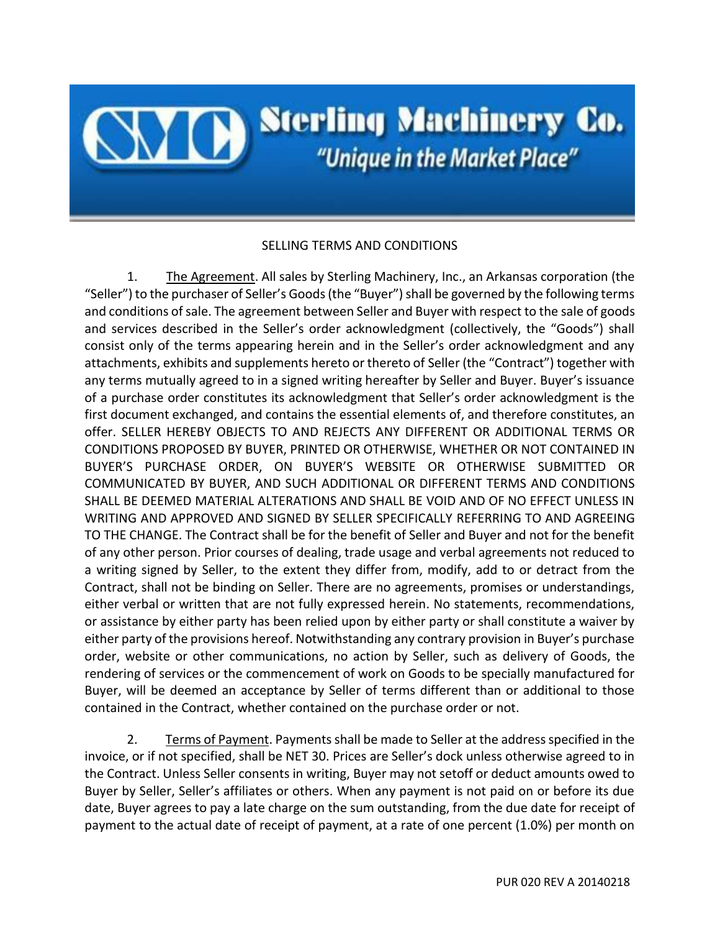## **TA** Sterling Machinery Co. "Unique in the Market Place"

## SELLING TERMS AND CONDITIONS

1. The Agreement. All sales by Sterling Machinery, Inc., an Arkansas corporation (the "Seller") to the purchaser of Seller's Goods (the "Buyer") shall be governed by the following terms and conditions of sale. The agreement between Seller and Buyer with respect to the sale of goods and services described in the Seller's order acknowledgment (collectively, the "Goods") shall consist only of the terms appearing herein and in the Seller's order acknowledgment and any attachments, exhibits and supplements hereto or thereto of Seller (the "Contract") together with any terms mutually agreed to in a signed writing hereafter by Seller and Buyer. Buyer's issuance of a purchase order constitutes its acknowledgment that Seller's order acknowledgment is the first document exchanged, and contains the essential elements of, and therefore constitutes, an offer. SELLER HEREBY OBJECTS TO AND REJECTS ANY DIFFERENT OR ADDITIONAL TERMS OR CONDITIONS PROPOSED BY BUYER, PRINTED OR OTHERWISE, WHETHER OR NOT CONTAINED IN BUYER'S PURCHASE ORDER, ON BUYER'S WEBSITE OR OTHERWISE SUBMITTED OR COMMUNICATED BY BUYER, AND SUCH ADDITIONAL OR DIFFERENT TERMS AND CONDITIONS SHALL BE DEEMED MATERIAL ALTERATIONS AND SHALL BE VOID AND OF NO EFFECT UNLESS IN WRITING AND APPROVED AND SIGNED BY SELLER SPECIFICALLY REFERRING TO AND AGREEING TO THE CHANGE. The Contract shall be for the benefit of Seller and Buyer and not for the benefit of any other person. Prior courses of dealing, trade usage and verbal agreements not reduced to a writing signed by Seller, to the extent they differ from, modify, add to or detract from the Contract, shall not be binding on Seller. There are no agreements, promises or understandings, either verbal or written that are not fully expressed herein. No statements, recommendations, or assistance by either party has been relied upon by either party or shall constitute a waiver by either party of the provisions hereof. Notwithstanding any contrary provision in Buyer's purchase order, website or other communications, no action by Seller, such as delivery of Goods, the rendering of services or the commencement of work on Goods to be specially manufactured for Buyer, will be deemed an acceptance by Seller of terms different than or additional to those contained in the Contract, whether contained on the purchase order or not.

2. Terms of Payment. Payments shall be made to Seller at the address specified in the invoice, or if not specified, shall be NET 30. Prices are Seller's dock unless otherwise agreed to in the Contract. Unless Seller consents in writing, Buyer may not setoff or deduct amounts owed to Buyer by Seller, Seller's affiliates or others. When any payment is not paid on or before its due date, Buyer agrees to pay a late charge on the sum outstanding, from the due date for receipt of payment to the actual date of receipt of payment, at a rate of one percent (1.0%) per month on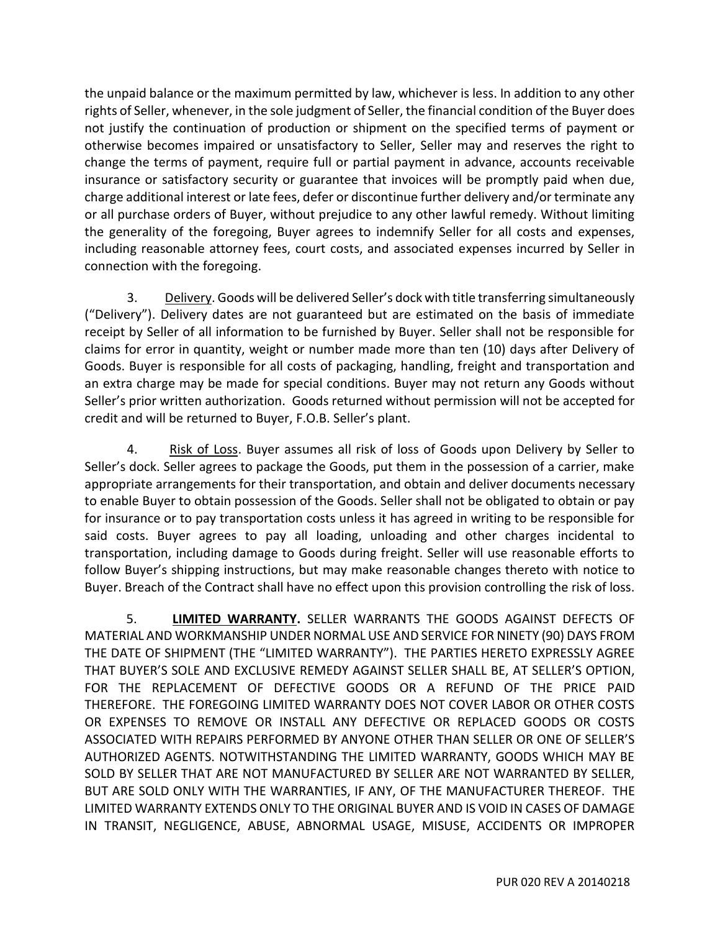the unpaid balance or the maximum permitted by law, whichever is less. In addition to any other rights of Seller, whenever, in the sole judgment of Seller, the financial condition of the Buyer does not justify the continuation of production or shipment on the specified terms of payment or otherwise becomes impaired or unsatisfactory to Seller, Seller may and reserves the right to change the terms of payment, require full or partial payment in advance, accounts receivable insurance or satisfactory security or guarantee that invoices will be promptly paid when due, charge additional interest or late fees, defer or discontinue further delivery and/or terminate any or all purchase orders of Buyer, without prejudice to any other lawful remedy. Without limiting the generality of the foregoing, Buyer agrees to indemnify Seller for all costs and expenses, including reasonable attorney fees, court costs, and associated expenses incurred by Seller in connection with the foregoing.

3. Delivery. Goods will be delivered Seller's dock with title transferring simultaneously ("Delivery"). Delivery dates are not guaranteed but are estimated on the basis of immediate receipt by Seller of all information to be furnished by Buyer. Seller shall not be responsible for claims for error in quantity, weight or number made more than ten (10) days after Delivery of Goods. Buyer is responsible for all costs of packaging, handling, freight and transportation and an extra charge may be made for special conditions. Buyer may not return any Goods without Seller's prior written authorization. Goods returned without permission will not be accepted for credit and will be returned to Buyer, F.O.B. Seller's plant.

4. Risk of Loss. Buyer assumes all risk of loss of Goods upon Delivery by Seller to Seller's dock. Seller agrees to package the Goods, put them in the possession of a carrier, make appropriate arrangements for their transportation, and obtain and deliver documents necessary to enable Buyer to obtain possession of the Goods. Seller shall not be obligated to obtain or pay for insurance or to pay transportation costs unless it has agreed in writing to be responsible for said costs. Buyer agrees to pay all loading, unloading and other charges incidental to transportation, including damage to Goods during freight. Seller will use reasonable efforts to follow Buyer's shipping instructions, but may make reasonable changes thereto with notice to Buyer. Breach of the Contract shall have no effect upon this provision controlling the risk of loss.

 5. **LIMITED WARRANTY.** SELLER WARRANTS THE GOODS AGAINST DEFECTS OF MATERIAL AND WORKMANSHIP UNDER NORMAL USE AND SERVICE FOR NINETY (90) DAYS FROM THE DATE OF SHIPMENT (THE "LIMITED WARRANTY"). THE PARTIES HERETO EXPRESSLY AGREE THAT BUYER'S SOLE AND EXCLUSIVE REMEDY AGAINST SELLER SHALL BE, AT SELLER'S OPTION, FOR THE REPLACEMENT OF DEFECTIVE GOODS OR A REFUND OF THE PRICE PAID THEREFORE. THE FOREGOING LIMITED WARRANTY DOES NOT COVER LABOR OR OTHER COSTS OR EXPENSES TO REMOVE OR INSTALL ANY DEFECTIVE OR REPLACED GOODS OR COSTS ASSOCIATED WITH REPAIRS PERFORMED BY ANYONE OTHER THAN SELLER OR ONE OF SELLER'S AUTHORIZED AGENTS. NOTWITHSTANDING THE LIMITED WARRANTY, GOODS WHICH MAY BE SOLD BY SELLER THAT ARE NOT MANUFACTURED BY SELLER ARE NOT WARRANTED BY SELLER, BUT ARE SOLD ONLY WITH THE WARRANTIES, IF ANY, OF THE MANUFACTURER THEREOF. THE LIMITED WARRANTY EXTENDS ONLY TO THE ORIGINAL BUYER AND IS VOID IN CASES OF DAMAGE IN TRANSIT, NEGLIGENCE, ABUSE, ABNORMAL USAGE, MISUSE, ACCIDENTS OR IMPROPER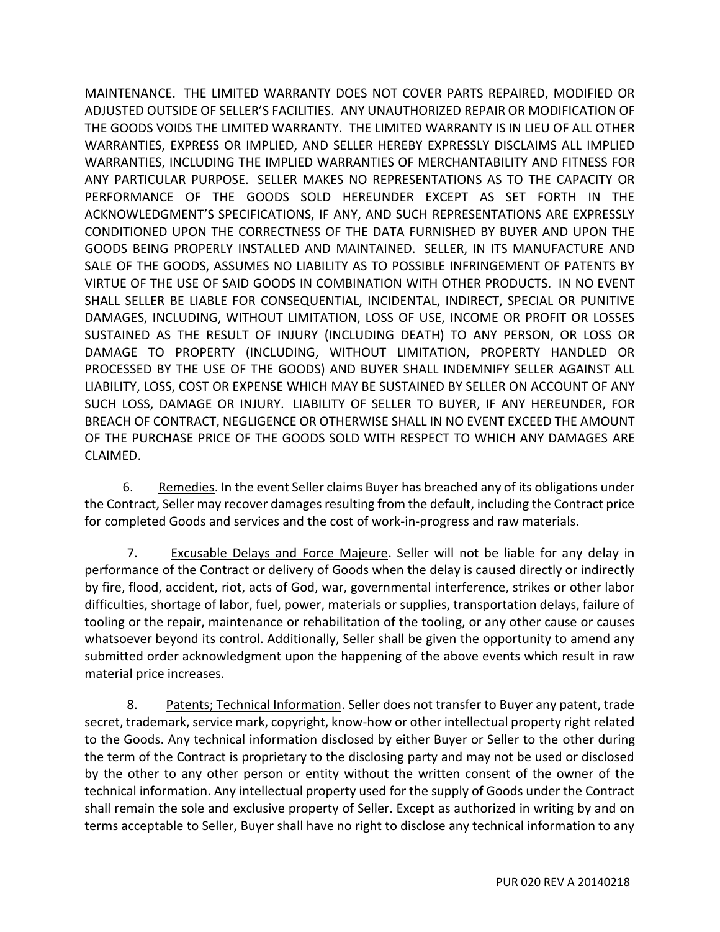MAINTENANCE. THE LIMITED WARRANTY DOES NOT COVER PARTS REPAIRED, MODIFIED OR ADJUSTED OUTSIDE OF SELLER'S FACILITIES. ANY UNAUTHORIZED REPAIR OR MODIFICATION OF THE GOODS VOIDS THE LIMITED WARRANTY. THE LIMITED WARRANTY IS IN LIEU OF ALL OTHER WARRANTIES, EXPRESS OR IMPLIED, AND SELLER HEREBY EXPRESSLY DISCLAIMS ALL IMPLIED WARRANTIES, INCLUDING THE IMPLIED WARRANTIES OF MERCHANTABILITY AND FITNESS FOR ANY PARTICULAR PURPOSE. SELLER MAKES NO REPRESENTATIONS AS TO THE CAPACITY OR PERFORMANCE OF THE GOODS SOLD HEREUNDER EXCEPT AS SET FORTH IN THE ACKNOWLEDGMENT'S SPECIFICATIONS, IF ANY, AND SUCH REPRESENTATIONS ARE EXPRESSLY CONDITIONED UPON THE CORRECTNESS OF THE DATA FURNISHED BY BUYER AND UPON THE GOODS BEING PROPERLY INSTALLED AND MAINTAINED. SELLER, IN ITS MANUFACTURE AND SALE OF THE GOODS, ASSUMES NO LIABILITY AS TO POSSIBLE INFRINGEMENT OF PATENTS BY VIRTUE OF THE USE OF SAID GOODS IN COMBINATION WITH OTHER PRODUCTS. IN NO EVENT SHALL SELLER BE LIABLE FOR CONSEQUENTIAL, INCIDENTAL, INDIRECT, SPECIAL OR PUNITIVE DAMAGES, INCLUDING, WITHOUT LIMITATION, LOSS OF USE, INCOME OR PROFIT OR LOSSES SUSTAINED AS THE RESULT OF INJURY (INCLUDING DEATH) TO ANY PERSON, OR LOSS OR DAMAGE TO PROPERTY (INCLUDING, WITHOUT LIMITATION, PROPERTY HANDLED OR PROCESSED BY THE USE OF THE GOODS) AND BUYER SHALL INDEMNIFY SELLER AGAINST ALL LIABILITY, LOSS, COST OR EXPENSE WHICH MAY BE SUSTAINED BY SELLER ON ACCOUNT OF ANY SUCH LOSS, DAMAGE OR INJURY. LIABILITY OF SELLER TO BUYER, IF ANY HEREUNDER, FOR BREACH OF CONTRACT, NEGLIGENCE OR OTHERWISE SHALL IN NO EVENT EXCEED THE AMOUNT OF THE PURCHASE PRICE OF THE GOODS SOLD WITH RESPECT TO WHICH ANY DAMAGES ARE CLAIMED.

 6. Remedies. In the event Seller claims Buyer has breached any of its obligations under the Contract, Seller may recover damages resulting from the default, including the Contract price for completed Goods and services and the cost of work-in-progress and raw materials.

7. Excusable Delays and Force Majeure. Seller will not be liable for any delay in performance of the Contract or delivery of Goods when the delay is caused directly or indirectly by fire, flood, accident, riot, acts of God, war, governmental interference, strikes or other labor difficulties, shortage of labor, fuel, power, materials or supplies, transportation delays, failure of tooling or the repair, maintenance or rehabilitation of the tooling, or any other cause or causes whatsoever beyond its control. Additionally, Seller shall be given the opportunity to amend any submitted order acknowledgment upon the happening of the above events which result in raw material price increases.

8. Patents; Technical Information. Seller does not transfer to Buyer any patent, trade secret, trademark, service mark, copyright, know-how or other intellectual property right related to the Goods. Any technical information disclosed by either Buyer or Seller to the other during the term of the Contract is proprietary to the disclosing party and may not be used or disclosed by the other to any other person or entity without the written consent of the owner of the technical information. Any intellectual property used for the supply of Goods under the Contract shall remain the sole and exclusive property of Seller. Except as authorized in writing by and on terms acceptable to Seller, Buyer shall have no right to disclose any technical information to any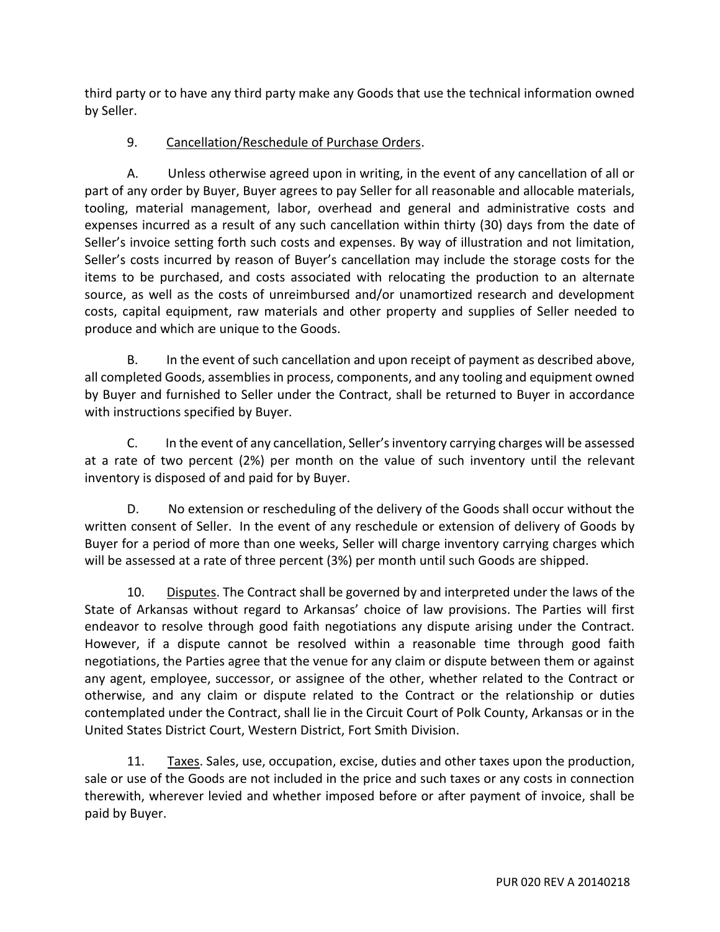third party or to have any third party make any Goods that use the technical information owned by Seller.

## 9. Cancellation/Reschedule of Purchase Orders.

A. Unless otherwise agreed upon in writing, in the event of any cancellation of all or part of any order by Buyer, Buyer agrees to pay Seller for all reasonable and allocable materials, tooling, material management, labor, overhead and general and administrative costs and expenses incurred as a result of any such cancellation within thirty (30) days from the date of Seller's invoice setting forth such costs and expenses. By way of illustration and not limitation, Seller's costs incurred by reason of Buyer's cancellation may include the storage costs for the items to be purchased, and costs associated with relocating the production to an alternate source, as well as the costs of unreimbursed and/or unamortized research and development costs, capital equipment, raw materials and other property and supplies of Seller needed to produce and which are unique to the Goods.

B. In the event of such cancellation and upon receipt of payment as described above, all completed Goods, assemblies in process, components, and any tooling and equipment owned by Buyer and furnished to Seller under the Contract, shall be returned to Buyer in accordance with instructions specified by Buyer.

C. In the event of any cancellation, Seller's inventory carrying charges will be assessed at a rate of two percent (2%) per month on the value of such inventory until the relevant inventory is disposed of and paid for by Buyer.

D. No extension or rescheduling of the delivery of the Goods shall occur without the written consent of Seller. In the event of any reschedule or extension of delivery of Goods by Buyer for a period of more than one weeks, Seller will charge inventory carrying charges which will be assessed at a rate of three percent (3%) per month until such Goods are shipped.

10. Disputes. The Contract shall be governed by and interpreted under the laws of the State of Arkansas without regard to Arkansas' choice of law provisions. The Parties will first endeavor to resolve through good faith negotiations any dispute arising under the Contract. However, if a dispute cannot be resolved within a reasonable time through good faith negotiations, the Parties agree that the venue for any claim or dispute between them or against any agent, employee, successor, or assignee of the other, whether related to the Contract or otherwise, and any claim or dispute related to the Contract or the relationship or duties contemplated under the Contract, shall lie in the Circuit Court of Polk County, Arkansas or in the United States District Court, Western District, Fort Smith Division.

11. Taxes. Sales, use, occupation, excise, duties and other taxes upon the production, sale or use of the Goods are not included in the price and such taxes or any costs in connection therewith, wherever levied and whether imposed before or after payment of invoice, shall be paid by Buyer.